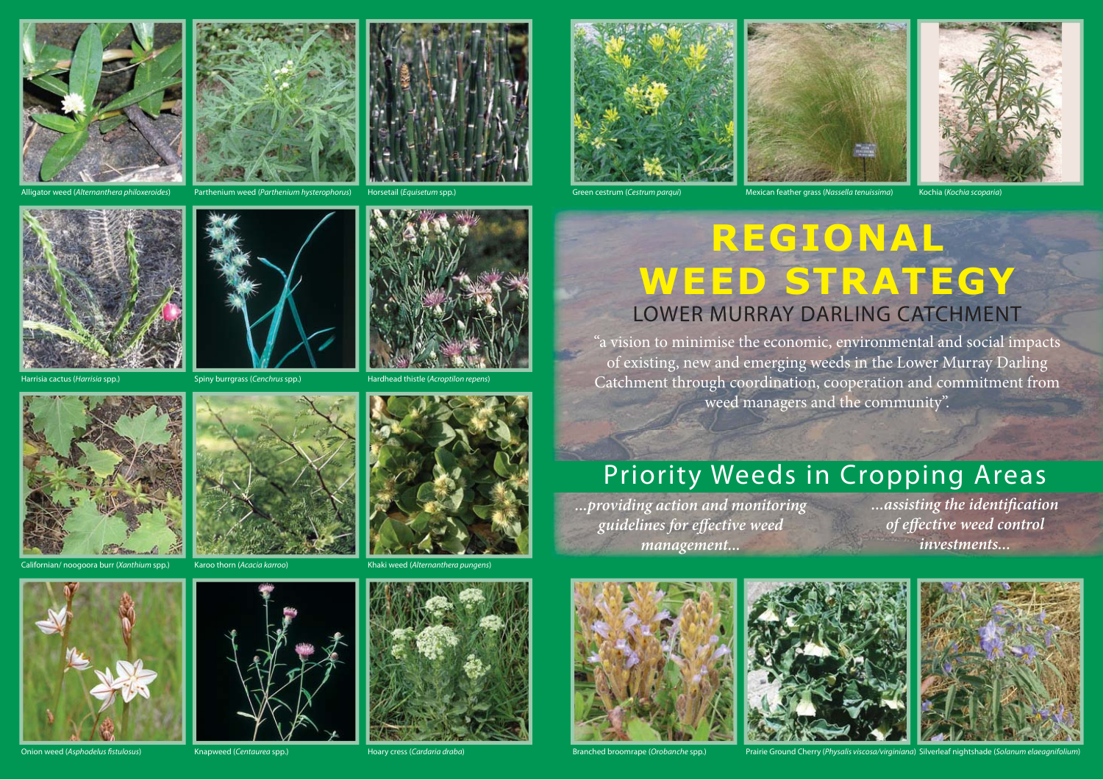



Alligator weed (Alternanthera philoxeroides) Parthenium weed (Parthenium hysterophorus) Horsetail (Equisetum spp.) Green cestrum (Cestrum parqui) Mexican feather grass (Nassella tenuissima) Kochia (Kochia scoparia)



Horsetail (Equisetum spp.)







## **REGIONAL WEED STRATEGY** LOWER MURRAY DARLING CATCHMENT

"a vision to minimise the economic, environmental and social impacts of existing, new and emerging weeds in the Lower Murray Darling Catchment through coordination, cooperation and commitment from weed managers and the community".

## Priority Weeds in Cropping Areas

*...providing action and monitoring guidelines for eff ective weed management...*

*...assisting the identifi cation*   $of$  *effective* weed control *investments...*







Onion weed (Asphodelus fistulosus) and the manus app. Hoary cress (Cardaria draba) Branched broomrape (Orobanche spp.) Prairie Ground Cherry (Physalis viscosa/virginiana) Silverleaf nightshade (Solanum elaeagnifolium)





Spiny burrgrass (Cenchrus spp.)

Hardhead thistle (Acroptilon repens)



rr (Xanthium spp.)

Harrisia cactus (*Harrisia* spp.)



Karoo thorn (Acacia karroo)



Knapweed (Centaurea spp.)